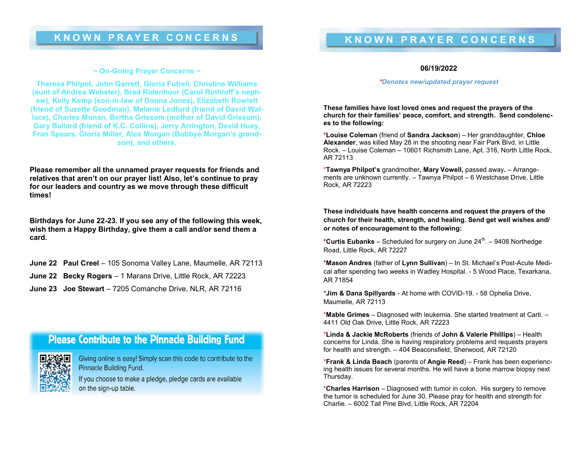#### **~ On-Going Prayer Concerns ~**

**Theresa Philpot, John Garrett, Gloria Futrell, Christine Williams (aunt of Andrea Webster), Brad Ridenhour (Carol Ruthloff's nephew), Kelly Kemp (son-in-law of Donna Jones), Elizabeth Rowlett (friend of Suzette Goodman), Melanie Ledford (friend of David Wallace), Charles Monan, Bertha Grissom (mother of David Grissom), Gary Ballard (friend of K.C. Collins), Jerry Arrington, David Huey, Fran Spears, Gloria Miller, Alex Morgan (Bobbye Morgan's grandson), and others.**

**Please remember all the unnamed prayer requests for friends and relatives that aren't on our prayer list! Also, let's continue to pray for our leaders and country as we move through these difficult times!** 

**Birthdays for June 22-23. If you see any of the following this week, wish them a Happy Birthday, give them a call and/or send them a card.** 

- **June 22 Paul Creel**  105 Sonoma Valley Lane, Maumelle, AR 72113
- **June 22 Becky Rogers**  1 Marans Drive, Little Rock, AR 72223
- **June 23 Joe Stewart**  7205 Comanche Drive, NLR, AR 72116

## **Please Contribute to the Pinnacle Building Fund**

Giving online is easy! Simply scan this code to contribute to the Pinnacle Building Fund.

If you choose to make a pledge, pledge cards are available on the sign-up table.

### **06/19/2022**

#### *\*Denotes new/updated prayer request*

**These families have lost loved ones and request the prayers of the church for their families' peace, comfort, and strength. Send condolences to the following:**

**\*Louise Coleman** (friend of **Sandra Jackson**) – Her granddaughter, **Chloe Alexander**, was killed May 28 in the shooting near Fair Park Blvd. in Little Rock. – Louise Coleman – 10601 Richsmith Lane, Apt. 316, North Little Rock, AR 72113

\***Tawnya Philpot's** grandmother**, Mary Vowell,** passed away**.** – Arrangements are unknown currently. – Tawnya Philpot – 6 Westchase Drive, Little Rock, AR 72223

### **These individuals have health concerns and request the prayers of the church for their health, strength, and healing. Send get well wishes and/ or notes of encouragement to the following:**

\*Curtis Eubanks – Scheduled for surgery on June 24<sup>th</sup>. – 9408 Northedge Road, Little Rock, AR 72227

**\*Mason Andres** (father of **Lynn Sullivan**) – In St. Michael's Post-Acute Medical after spending two weeks in Wadley Hospital. - 5 Wood Place, Texarkana, AR 71854

**\*Jim & Dana Spillyards** - At home with COVID-19. - 58 Ophelia Drive, Maumelle, AR 72113

\***Mable Grimes** – Diagnosed with leukemia. She started treatment at Carti. – 4411 Old Oak Drive, Little Rock, AR 72223

\***Linda & Jackie McRoberts** (friends of **John & Valerie Phillips**) – Health concerns for Linda. She is having respiratory problems and requests prayers for health and strength. – 404 Beaconsfield, Sherwood, AR 72120

\***Frank & Linda Beach** (parents of **Angie Reed**) – Frank has been experiencing health issues for several months. He will have a bone marrow biopsy next Thursday.

\***Charles Harrison** – Diagnosed with tumor in colon. His surgery to remove the tumor is scheduled for June 30. Please pray for health and strength for Charlie. – 6002 Tall Pine Blvd, Little Rock, AR 72204